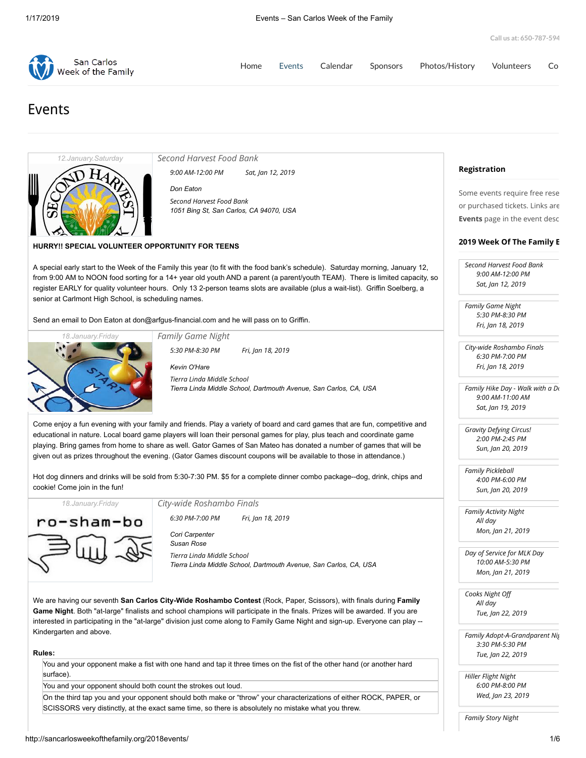| San Carlos<br>Week of the Family | Home |  | Events Calendar Sponsors Photos/History Volunteers | Co |
|----------------------------------|------|--|----------------------------------------------------|----|
|                                  |      |  |                                                    |    |

# Events



*[Second Harvest Food Bank](http://sancarlosweekofthefamily.org/event/second-harvest-food-bank/2019-01-12/)*

*9:00 AM-12:00 PM Sat, Jan 12, 2019*

*[Don Eaton](http://sancarlosweekofthefamily.org/organizer/don-eaton/) [Second Harvest Food Bank](http://sancarlosweekofthefamily.org/venue/second-harvest-food-bank/) 1051 Bing St, San Carlos, CA 94070, USA*

## **HURRY!! SPECIAL VOLUNTEER OPPORTUNITY FOR TEENS**

A special early start to the Week of the Family this year (to fit with the food bank's schedule). Saturday morning, January 12, from 9:00 AM to NOON food sorting for a 14+ year old youth AND a parent (a parent/youth TEAM). There is limited capacity, so register EARLY for quality volunteer hours. Only 13 2-person teams slots are available (plus a wait-list). Griffin Soelberg, a senior at Carlmont High School, is scheduling names.

Send an email to Don Eaton at [don@arfgus-financial.com](mailto:don@argus-financial.com) and he will pass on to Griffin.



*[Family Game Night](http://sancarlosweekofthefamily.org/event/family-game-night/2019-01-18/) 5:30 PM-8:30 PM Fri, Jan 18, 2019*

*[Kevin O'Hare](http://sancarlosweekofthefamily.org/organizer/kevin-ohare/) [Tierra Linda Middle School](http://sancarlosweekofthefamily.org/venue/tierra-linda-middle-school/) Tierra Linda Middle School, Dartmouth Avenue, San Carlos, CA, USA*

Come enjoy a fun evening with your family and friends. Play a variety of board and card games that are fun, competitive and educational in nature. Local board game players will loan their personal games for play, plus teach and coordinate game playing. Bring games from home to share as well. Gator Games of San Mateo has donated a number of games that will be given out as prizes throughout the evening. (Gator Games discount coupons will be available to those in attendance.)

Hot dog dinners and drinks will be sold from 5:30-7:30 PM. \$5 for a complete dinner combo package--dog, drink, chips and cookie! Come join in the fun!



*[City-wide Roshambo Finals](http://sancarlosweekofthefamily.org/event/city-wide-roshambo-finals/2019-01-18/)*

*6:30 PM-7:00 PM Fri, Jan 18, 2019*

*[Cori Carpenter](http://sancarlosweekofthefamily.org/organizer/cori-carpenter/) [Susan Rose](http://sancarlosweekofthefamily.org/organizer/susan-rose/) [Tierra Linda Middle School](http://sancarlosweekofthefamily.org/venue/tierra-linda-middle-school/) Tierra Linda Middle School, Dartmouth Avenue, San Carlos, CA, USA*

We are having our seventh **San Carlos City-Wide Roshambo Contest** (Rock, Paper, Scissors), with finals during **Family Game Night**. Both "at-large" finalists and school champions will participate in the finals. Prizes will be awarded. If you are interested in participating in the "at-large" division just come along to Family Game Night and sign-up. Everyone can play -- Kindergarten and above.

### **Rules:**

You and your opponent make a fist with one hand and tap it three times on the fist of the other hand (or another hard surface).

You and your opponent should both count the strokes out loud.

On the third tap you and your opponent should both make or "throw" your characterizations of either ROCK, PAPER, or SCISSORS very distinctly, at the exact same time, so there is absolutely no mistake what you threw.

# **Registration**

Some events require free rese or purchased tickets. Links are **Events** page in the event desc

### **2019 Week Of The Family E**

*[Second Harvest Food Bank](http://sancarlosweekofthefamily.org/event/second-harvest-food-bank/2019-01-12/) 9:00 AM-12:00 PM Sat, Jan 12, 2019*

*[Family Game Night](http://sancarlosweekofthefamily.org/event/family-game-night/2019-01-18/) 5:30 PM-8:30 PM Fri, Jan 18, 2019*

*[City-wide Roshambo Finals](http://sancarlosweekofthefamily.org/event/city-wide-roshambo-finals/2019-01-18/) 6:30 PM-7:00 PM Fri, Jan 18, 2019*

*[Family Hike Day - Walk with a Do](http://sancarlosweekofthefamily.org/event/family-hike-day-am-2/2019-01-19/) 9:00 AM-11:00 AM Sat, Jan 19, 2019*

*[Gravity Defying Circus!](http://sancarlosweekofthefamily.org/event/library-event/2019-01-20/) 2:00 PM-2:45 PM Sun, Jan 20, 2019*

*[Family Pickleball](http://sancarlosweekofthefamily.org/event/family-pickle-ball-tournament/2019-01-20/) 4:00 PM-6:00 PM Sun, Jan 20, 2019*

*[Family Activity Night](http://sancarlosweekofthefamily.org/event/family-activity-night/2019-01-21/) All day Mon, Jan 21, 2019*

*[Day of Service for MLK Day](http://sancarlosweekofthefamily.org/event/day-of-service-for-mlk-day/2019-01-21/) 10:00 AM-5:30 PM Mon, Jan 21, 2019*

*[Cooks Night O](http://sancarlosweekofthefamily.org/event/cooks-night-off/2019-01-22/) All day Tue, Jan 22, 2019*

*[Family Adopt-A-Grandparent Nig](http://sancarlosweekofthefamily.org/event/family-adopt-a-grandparent-night/2019-01-22/) 3:30 PM-5:30 PM Tue, Jan 22, 2019*

*[Hiller Flight Night](http://sancarlosweekofthefamily.org/event/hiller-flight-night/2019-01-23/) 6:00 PM-8:00 PM Wed, Jan 23, 2019*

*[Family Story Night](http://sancarlosweekofthefamily.org/event/family-story-night/2019-01-24/)*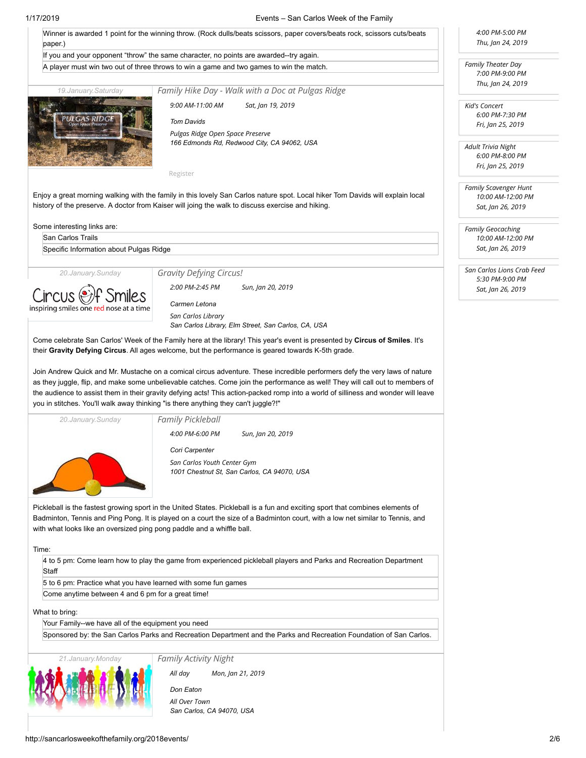### 1/17/2019 Events – San Carlos Week of the Family

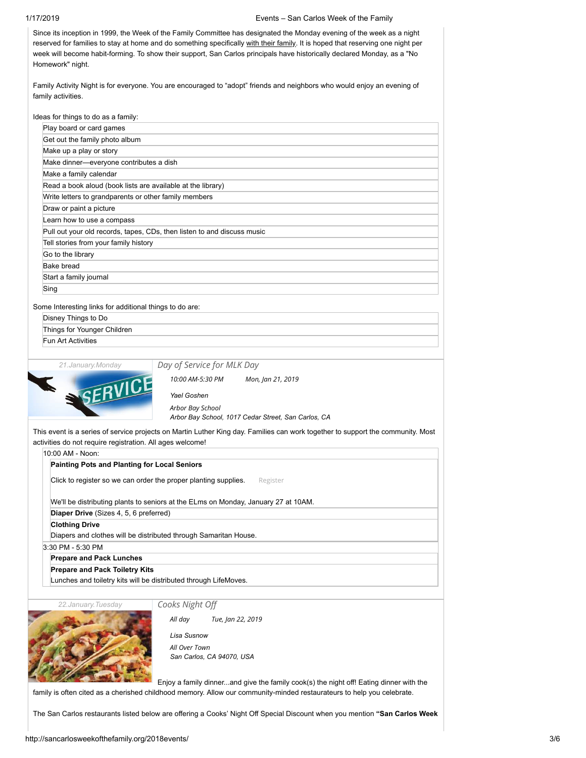| 1/17/2019                                                                   | Events – San Carlos Week of the Family                                                                                                                                                                                                                                                                                                                                                                                                                                                                            |  |  |  |  |  |  |
|-----------------------------------------------------------------------------|-------------------------------------------------------------------------------------------------------------------------------------------------------------------------------------------------------------------------------------------------------------------------------------------------------------------------------------------------------------------------------------------------------------------------------------------------------------------------------------------------------------------|--|--|--|--|--|--|
| Homework" night.                                                            | Since its inception in 1999, the Week of the Family Committee has designated the Monday evening of the week as a night<br>reserved for families to stay at home and do something specifically with their family. It is hoped that reserving one night per<br>week will become habit-forming. To show their support, San Carlos principals have historically declared Monday, as a "No<br>Family Activity Night is for everyone. You are encouraged to "adopt" friends and neighbors who would enjoy an evening of |  |  |  |  |  |  |
| family activities.                                                          |                                                                                                                                                                                                                                                                                                                                                                                                                                                                                                                   |  |  |  |  |  |  |
| Ideas for things to do as a family:                                         |                                                                                                                                                                                                                                                                                                                                                                                                                                                                                                                   |  |  |  |  |  |  |
| Play board or card games                                                    |                                                                                                                                                                                                                                                                                                                                                                                                                                                                                                                   |  |  |  |  |  |  |
| Get out the family photo album                                              |                                                                                                                                                                                                                                                                                                                                                                                                                                                                                                                   |  |  |  |  |  |  |
| Make up a play or story                                                     |                                                                                                                                                                                                                                                                                                                                                                                                                                                                                                                   |  |  |  |  |  |  |
|                                                                             | Make dinner-everyone contributes a dish                                                                                                                                                                                                                                                                                                                                                                                                                                                                           |  |  |  |  |  |  |
| Make a family calendar                                                      |                                                                                                                                                                                                                                                                                                                                                                                                                                                                                                                   |  |  |  |  |  |  |
| Read a book aloud (book lists are available at the library)                 |                                                                                                                                                                                                                                                                                                                                                                                                                                                                                                                   |  |  |  |  |  |  |
| Write letters to grandparents or other family members                       |                                                                                                                                                                                                                                                                                                                                                                                                                                                                                                                   |  |  |  |  |  |  |
| Draw or paint a picture                                                     |                                                                                                                                                                                                                                                                                                                                                                                                                                                                                                                   |  |  |  |  |  |  |
| Learn how to use a compass                                                  |                                                                                                                                                                                                                                                                                                                                                                                                                                                                                                                   |  |  |  |  |  |  |
|                                                                             | Pull out your old records, tapes, CDs, then listen to and discuss music                                                                                                                                                                                                                                                                                                                                                                                                                                           |  |  |  |  |  |  |
| Tell stories from your family history                                       |                                                                                                                                                                                                                                                                                                                                                                                                                                                                                                                   |  |  |  |  |  |  |
| Go to the library                                                           |                                                                                                                                                                                                                                                                                                                                                                                                                                                                                                                   |  |  |  |  |  |  |
| <b>Bake bread</b>                                                           |                                                                                                                                                                                                                                                                                                                                                                                                                                                                                                                   |  |  |  |  |  |  |
| Start a family journal                                                      |                                                                                                                                                                                                                                                                                                                                                                                                                                                                                                                   |  |  |  |  |  |  |
| Sing                                                                        |                                                                                                                                                                                                                                                                                                                                                                                                                                                                                                                   |  |  |  |  |  |  |
|                                                                             |                                                                                                                                                                                                                                                                                                                                                                                                                                                                                                                   |  |  |  |  |  |  |
| Some Interesting links for additional things to do are:                     |                                                                                                                                                                                                                                                                                                                                                                                                                                                                                                                   |  |  |  |  |  |  |
| Disney Things to Do                                                         |                                                                                                                                                                                                                                                                                                                                                                                                                                                                                                                   |  |  |  |  |  |  |
| Things for Younger Children                                                 |                                                                                                                                                                                                                                                                                                                                                                                                                                                                                                                   |  |  |  |  |  |  |
| <b>Fun Art Activities</b>                                                   |                                                                                                                                                                                                                                                                                                                                                                                                                                                                                                                   |  |  |  |  |  |  |
| 21. January. Monday                                                         | Day of Service for MLK Day                                                                                                                                                                                                                                                                                                                                                                                                                                                                                        |  |  |  |  |  |  |
|                                                                             |                                                                                                                                                                                                                                                                                                                                                                                                                                                                                                                   |  |  |  |  |  |  |
| SERVICE                                                                     | 10:00 AM-5:30 PM<br>Mon, Jan 21, 2019<br>Yael Goshen                                                                                                                                                                                                                                                                                                                                                                                                                                                              |  |  |  |  |  |  |
|                                                                             | Arbor Bay School<br>Arbor Bay School, 1017 Cedar Street, San Carlos, CA                                                                                                                                                                                                                                                                                                                                                                                                                                           |  |  |  |  |  |  |
|                                                                             |                                                                                                                                                                                                                                                                                                                                                                                                                                                                                                                   |  |  |  |  |  |  |
| activities do not require registration. All ages welcome!                   | This event is a series of service projects on Martin Luther King day. Families can work together to support the community. Most                                                                                                                                                                                                                                                                                                                                                                                   |  |  |  |  |  |  |
| 10:00 AM - Noon:                                                            |                                                                                                                                                                                                                                                                                                                                                                                                                                                                                                                   |  |  |  |  |  |  |
| <b>Painting Pots and Planting for Local Seniors</b>                         |                                                                                                                                                                                                                                                                                                                                                                                                                                                                                                                   |  |  |  |  |  |  |
| Click to register so we can order the proper planting supplies.<br>Register |                                                                                                                                                                                                                                                                                                                                                                                                                                                                                                                   |  |  |  |  |  |  |
|                                                                             | We'll be distributing plants to seniors at the ELms on Monday, January 27 at 10AM.                                                                                                                                                                                                                                                                                                                                                                                                                                |  |  |  |  |  |  |
| Diaper Drive (Sizes 4, 5, 6 preferred)                                      |                                                                                                                                                                                                                                                                                                                                                                                                                                                                                                                   |  |  |  |  |  |  |
| <b>Clothing Drive</b>                                                       |                                                                                                                                                                                                                                                                                                                                                                                                                                                                                                                   |  |  |  |  |  |  |
|                                                                             | Diapers and clothes will be distributed through Samaritan House.                                                                                                                                                                                                                                                                                                                                                                                                                                                  |  |  |  |  |  |  |

3:30 PM - 5:30 PM

**Prepare and Pack Lunches**

**Prepare and Pack Toiletry Kits**

Lunches and toiletry kits will be distributed through LifeMoves.

*22.January.Tuesday*

*[Cooks Night O](http://sancarlosweekofthefamily.org/event/cooks-night-off/2019-01-22/)*



*[Lisa Susnow](http://sancarlosweekofthefamily.org/organizer/lisa-susnow/) All day Tue, Jan 22, 2019*

*[All Over Town](http://sancarlosweekofthefamily.org/venue/all-over-town/) San Carlos, CA 94070, USA*

Enjoy a family dinner...and give the family cook(s) the night off! Eating dinner with the family is often cited as a cherished childhood memory. Allow our community-minded restaurateurs to help you celebrate.

The San Carlos restaurants listed below are offering a Cooks' Night Off Special Discount when you mention **"San Carlos Week**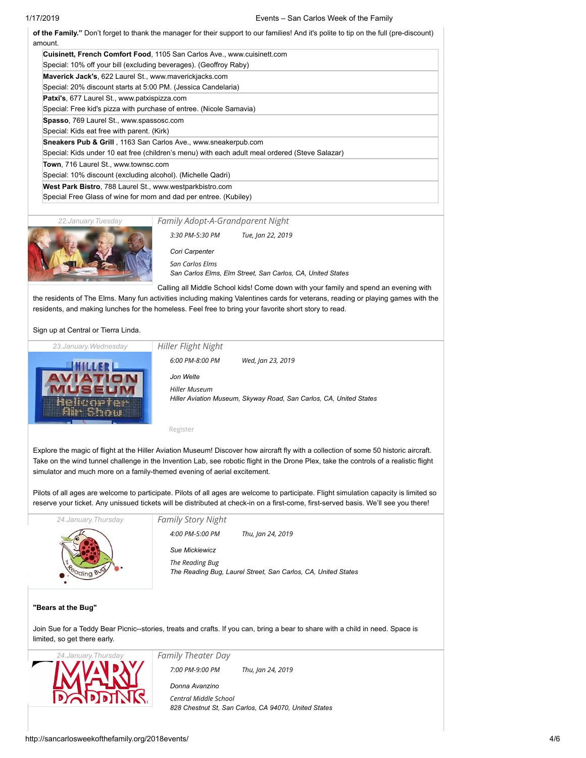# 1/17/2019 Events – San Carlos Week of the Family

| Cuisinett, French Comfort Food, 1105 San Carlos Ave., www.cuisinett.com                        |
|------------------------------------------------------------------------------------------------|
| Special: 10% off your bill (excluding beverages). (Geoffroy Raby)                              |
| Maverick Jack's, 622 Laurel St., www.maverickjacks.com                                         |
| Special: 20% discount starts at 5:00 PM. (Jessica Candelaria)                                  |
| <b>Patxi's, 677 Laurel St., www.patxispizza.com</b>                                            |
| Special: Free kid's pizza with purchase of entree. (Nicole Samavia)                            |
| <b>Spasso, 769 Laurel St., www.spassosc.com</b>                                                |
| Special: Kids eat free with parent. (Kirk)                                                     |
| <b>Sneakers Pub &amp; Grill</b> , 1163 San Carlos Ave., www.sneakerpub.com                     |
| Special: Kids under 10 eat free (children's menu) with each adult meal ordered (Steve Salazar) |
| <b>Town</b> , 716 Laurel St., www.townsc.com                                                   |
| Special: 10% discount (excluding alcohol). (Michelle Qadri)                                    |
| West Park Bistro, 788 Laurel St., www.westparkbistro.com                                       |
| Special Free Glass of wine for mom and dad per entree. (Kubiley)                               |

*22.January.Tuesday*

# *[Family Adopt-A-Grandparent Night](http://sancarlosweekofthefamily.org/event/family-adopt-a-grandparent-night/2019-01-22/)*



*3:30 PM-5:30 PM Tue, Jan 22, 2019*

*[Cori Carpenter](http://sancarlosweekofthefamily.org/organizer/cori-carpenter/) [San Carlos Elms](http://sancarlosweekofthefamily.org/venue/the-elms/) San Carlos Elms, Elm Street, San Carlos, CA, United States*

Calling all Middle School kids! Come down with your family and spend an evening with the residents of The Elms. Many fun activities including making Valentines cards for veterans, reading or playing games with the residents, and making lunches for the homeless. Feel free to bring your favorite short story to read.

Sign up at Central or Tierra Linda.



[Register](https://www.eventbrite.com/e/2019-hiller-flight-night-tickets-54276334979)

Explore the magic of flight at the Hiller Aviation Museum! Discover how aircraft fly with a collection of some 50 historic aircraft. Take on the wind tunnel challenge in the Invention Lab, see robotic flight in the Drone Plex, take the controls of a realistic flight simulator and much more on a family-themed evening of aerial excitement.

Pilots of all ages are welcome to participate. Pilots of all ages are welcome to participate. Flight simulation capacity is limited so reserve your ticket. Any unissued tickets will be distributed at check-in on a first-come, first-served basis. We'll see you there!



**"Bears at the Bug"**

Join Sue for a Teddy Bear Picnic--stories, treats and crafts. If you can, bring a bear to share with a child in need. Space is limited, so get there early.



*[Family Theater Day](http://sancarlosweekofthefamily.org/event/family-theater-day-2/2019-01-24/) 7:00 PM-9:00 PM Thu, Jan 24, 2019*

*[Donna Avanzino](http://sancarlosweekofthefamily.org/organizer/donna-avanzino/) [Central Middle School](http://sancarlosweekofthefamily.org/venue/central-middle-school/) 828 Chestnut St, San Carlos, CA 94070, United States*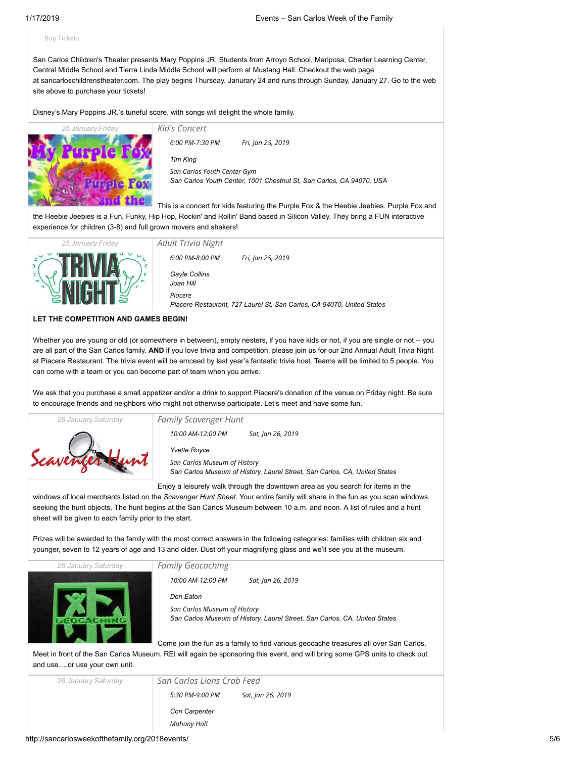### [Buy Tickets](http://www.sancarloschildrenstheater.com/tickets/)

San Carlos Children's Theater presents Mary Poppins JR. Students from Arroyo School, Mariposa, Charter Learning Center, Central Middle School and Tierra Linda Middle School will perform at Mustang Hall. Checkout the web page at [sancarloschildrenstheater.com](http://sancarloschildrenstheater.com/). The play begins Thursday, Janurary 24 and runs through Sunday, January 27. Go to the web site above to purchase your tickets!

Disney's Mary Poppins JR.'s tuneful score, with songs will delight the whole family.



| Kid's Concert                                                                                       |                   |  |  |  |  |  |
|-----------------------------------------------------------------------------------------------------|-------------------|--|--|--|--|--|
| 6:00 PM-7:30 PM                                                                                     | Fri, Jan 25, 2019 |  |  |  |  |  |
| <b>Tim King</b>                                                                                     |                   |  |  |  |  |  |
| San Carlos Youth Center Gym<br>San Carlos Youth Center, 1001 Chestnut St, San Carlos, CA 94070, USA |                   |  |  |  |  |  |
|                                                                                                     |                   |  |  |  |  |  |

This is a concert for kids featuring the Purple Fox & the Heebie Jeebies. Purple Fox and the Heebie Jeebies is a Fun, Funky, Hip Hop, Rockin' and Rollin' Band based in Silicon Valley. They bring a FUN interactive experience for children (3-8) and full grown movers and shakers!



*[Adult Trivia Night](http://sancarlosweekofthefamily.org/event/adult-trivia-night/2019-01-25/) [Gayle Collins](http://sancarlosweekofthefamily.org/organizer/gayle-collins/) [Joan Hill](http://sancarlosweekofthefamily.org/organizer/joan-hill/) [Piacere](http://sancarlosweekofthefamily.org/venue/piacere/) Piacere Restaurant, 727 Laurel St, San Carlos, CA 94070, United States 6:00 PM-8:00 PM Fri, Jan 25, 2019*

**LET THE COMPETITION AND GAMES BEGIN!**

Whether you are young or old (or somewhere in between), empty nesters, if you have kids or not, if you are single or not -- you are all part of the San Carlos family. **AND** if you love trivia and competition, please join us for our 2nd Annual Adult Trivia Night at Piacere Restaurant. The trivia event will be emceed by last year's fantastic trivia host. Teams will be limited to 5 people. You can come with a team or you can become part of team when you arrive.

We ask that you purchase a small appetizer and/or a drink to support Piacere's donation of the venue on Friday night. Be sure to encourage friends and neighbors who might not otherwise participate. Let's meet and have some fun.



*[Yvette Royce](http://sancarlosweekofthefamily.org/organizer/yvette-royce/) [San Carlos Museum of History](http://sancarlosweekofthefamily.org/venue/san-carlos-museum-of-history/) San Carlos Museum of History, Laurel Street, San Carlos, CA, United States 10:00 AM-12:00 PM Sat, Jan 26, 2019*

Enjoy a leisurely walk through the downtown area as you search for items in the

windows of local merchants listed on the *Scavenger Hunt Sheet*. Your entire family will share in the fun as you scan windows seeking the hunt objects. The hunt begins at the San Carlos Museum between 10 a.m. and noon. A list of rules and a hunt sheet will be given to each family prior to the start.

Prizes will be awarded to the family with the most correct answers in the following categories: families with children six and younger, seven to 12 years of age and 13 and older. Dust off your magnifying glass and we'll see you at the museum.

*26.January.Saturday*

*[Family Geocaching](http://sancarlosweekofthefamily.org/event/family-geocaching/2019-01-26/)*

*10:00 AM-12:00 PM Sat, Jan 26, 2019*



*[Don Eaton](http://sancarlosweekofthefamily.org/organizer/don-eaton/) [San Carlos Museum of History](http://sancarlosweekofthefamily.org/venue/san-carlos-museum-of-history/) San Carlos Museum of History, Laurel Street, San Carlos, CA, United States*

Come join the fun as a family to find various geocache treasures all over San Carlos.

Meet in front of the San Carlos Museum. REI will again be sponsoring this event, and will bring some GPS units to check out and use….or use your own unit.

*26.January.Saturday [San Carlos Lions Crab Feed](http://sancarlosweekofthefamily.org/event/san-carlos-lions-crab-feed/2019-01-26/) [Cori Carpenter](http://sancarlosweekofthefamily.org/organizer/cori-carpenter/) [Mahany Hall](http://sancarlosweekofthefamily.org/venue/mahany-hall/) 5:30 PM-9:00 PM Sat, Jan 26, 2019*